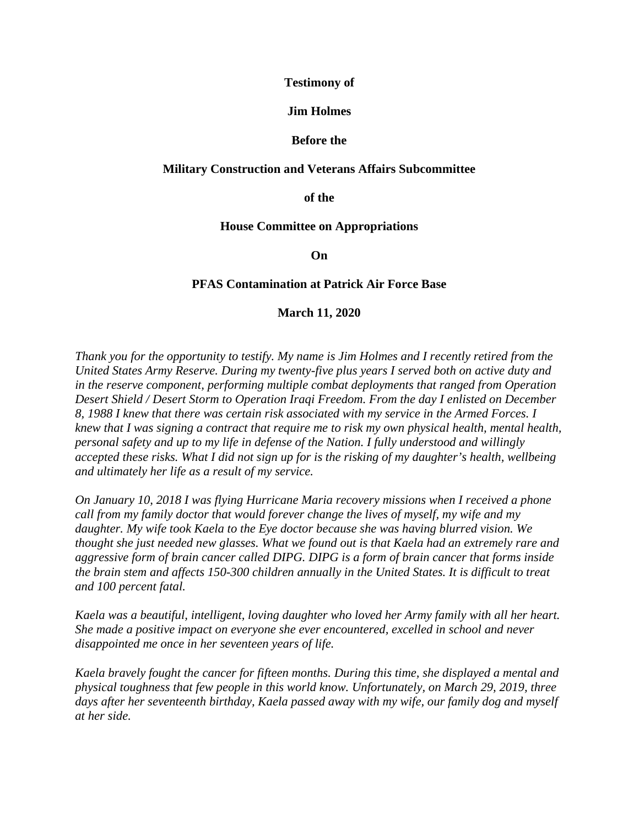## **Testimony of**

## **Jim Holmes**

# **Before the**

# **Military Construction and Veterans Affairs Subcommittee**

**of the** 

## **House Committee on Appropriations**

**On**

## **PFAS Contamination at Patrick Air Force Base**

## **March 11, 2020**

*Thank you for the opportunity to testify. My name is Jim Holmes and I recently retired from the United States Army Reserve. During my twenty-five plus years I served both on active duty and in the reserve component, performing multiple combat deployments that ranged from Operation Desert Shield / Desert Storm to Operation Iraqi Freedom. From the day I enlisted on December 8, 1988 I knew that there was certain risk associated with my service in the Armed Forces. I knew that I was signing a contract that require me to risk my own physical health, mental health, personal safety and up to my life in defense of the Nation. I fully understood and willingly accepted these risks. What I did not sign up for is the risking of my daughter's health, wellbeing and ultimately her life as a result of my service.*

*On January 10, 2018 I was flying Hurricane Maria recovery missions when I received a phone call from my family doctor that would forever change the lives of myself, my wife and my daughter. My wife took Kaela to the Eye doctor because she was having blurred vision. We thought she just needed new glasses. What we found out is that Kaela had an extremely rare and aggressive form of brain cancer called DIPG. DIPG is a form of brain cancer that forms inside the brain stem and affects 150-300 children annually in the United States. It is difficult to treat and 100 percent fatal.*

*Kaela was a beautiful, intelligent, loving daughter who loved her Army family with all her heart. She made a positive impact on everyone she ever encountered, excelled in school and never disappointed me once in her seventeen years of life.* 

*Kaela bravely fought the cancer for fifteen months. During this time, she displayed a mental and physical toughness that few people in this world know. Unfortunately, on March 29, 2019, three days after her seventeenth birthday, Kaela passed away with my wife, our family dog and myself at her side.*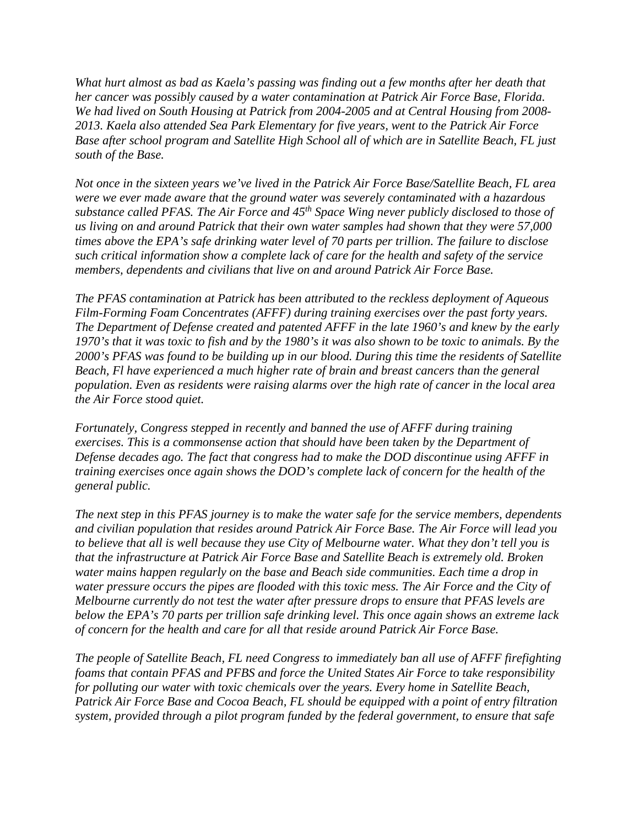*What hurt almost as bad as Kaela's passing was finding out a few months after her death that her cancer was possibly caused by a water contamination at Patrick Air Force Base, Florida. We had lived on South Housing at Patrick from 2004-2005 and at Central Housing from 2008- 2013. Kaela also attended Sea Park Elementary for five years, went to the Patrick Air Force Base after school program and Satellite High School all of which are in Satellite Beach, FL just south of the Base.* 

*Not once in the sixteen years we've lived in the Patrick Air Force Base/Satellite Beach, FL area were we ever made aware that the ground water was severely contaminated with a hazardous substance called PFAS. The Air Force and 45th Space Wing never publicly disclosed to those of us living on and around Patrick that their own water samples had shown that they were 57,000 times above the EPA's safe drinking water level of 70 parts per trillion. The failure to disclose such critical information show a complete lack of care for the health and safety of the service members, dependents and civilians that live on and around Patrick Air Force Base.*

*The PFAS contamination at Patrick has been attributed to the reckless deployment of Aqueous Film-Forming Foam Concentrates (AFFF) during training exercises over the past forty years. The Department of Defense created and patented AFFF in the late 1960's and knew by the early 1970's that it was toxic to fish and by the 1980's it was also shown to be toxic to animals. By the 2000's PFAS was found to be building up in our blood. During this time the residents of Satellite Beach, Fl have experienced a much higher rate of brain and breast cancers than the general population. Even as residents were raising alarms over the high rate of cancer in the local area the Air Force stood quiet.* 

*Fortunately, Congress stepped in recently and banned the use of AFFF during training exercises. This is a commonsense action that should have been taken by the Department of Defense decades ago. The fact that congress had to make the DOD discontinue using AFFF in training exercises once again shows the DOD's complete lack of concern for the health of the general public.*

*The next step in this PFAS journey is to make the water safe for the service members, dependents and civilian population that resides around Patrick Air Force Base. The Air Force will lead you to believe that all is well because they use City of Melbourne water. What they don't tell you is that the infrastructure at Patrick Air Force Base and Satellite Beach is extremely old. Broken water mains happen regularly on the base and Beach side communities. Each time a drop in water pressure occurs the pipes are flooded with this toxic mess. The Air Force and the City of Melbourne currently do not test the water after pressure drops to ensure that PFAS levels are below the EPA's 70 parts per trillion safe drinking level. This once again shows an extreme lack of concern for the health and care for all that reside around Patrick Air Force Base.*

*The people of Satellite Beach, FL need Congress to immediately ban all use of AFFF firefighting foams that contain PFAS and PFBS and force the United States Air Force to take responsibility for polluting our water with toxic chemicals over the years. Every home in Satellite Beach, Patrick Air Force Base and Cocoa Beach, FL should be equipped with a point of entry filtration system, provided through a pilot program funded by the federal government, to ensure that safe*